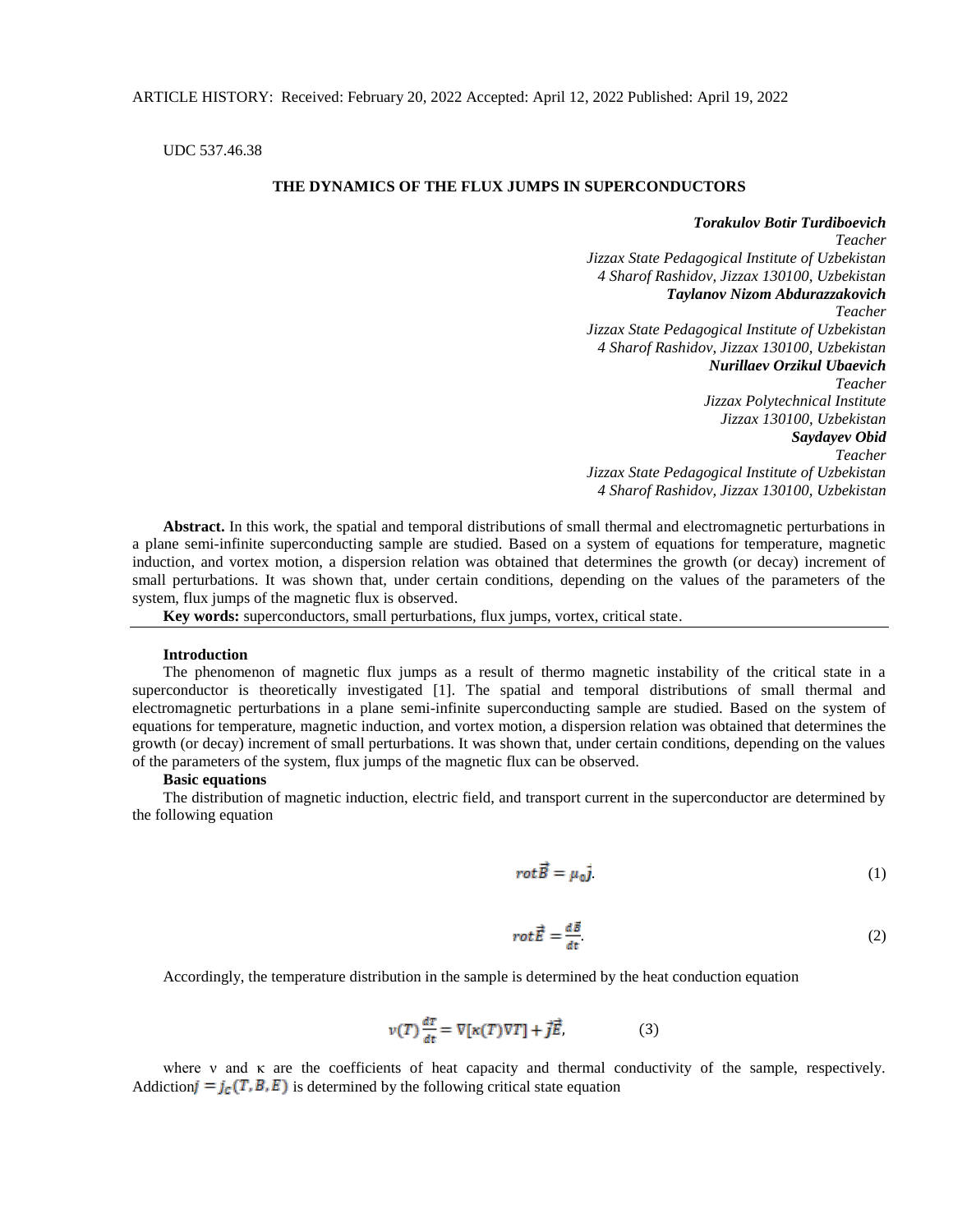UDC 537.46.38

## **THE DYNAMICS OF THE FLUX JUMPS IN SUPERCONDUCTORS**

*Torakulov Botir Turdiboevich*

*Teacher Jizzax State Pedagogical Institute of Uzbekistan 4 Sharof Rashidov, Jizzax 130100, Uzbekistan Taylanov Nizom Abdurazzakovich Teacher Jizzax State Pedagogical Institute of Uzbekistan 4 Sharof Rashidov, Jizzax 130100, Uzbekistan Nurillaev Orzikul Ubaevich Teacher Jizzax Polytechnical Institute Jizzax 130100, Uzbekistan Saydayev Obid Teacher Jizzax State Pedagogical Institute of Uzbekistan 4 Sharof Rashidov, Jizzax 130100, Uzbekistan* 

**Abstract.** In this work, the spatial and temporal distributions of small thermal and electromagnetic perturbations in a plane semi-infinite superconducting sample are studied. Based on a system of equations for temperature, magnetic induction, and vortex motion, a dispersion relation was obtained that determines the growth (or decay) increment of small perturbations. It was shown that, under certain conditions, depending on the values of the parameters of the system, flux jumps of the magnetic flux is observed.

**Key words:** superconductors, small perturbations, flux jumps, vortex, critical state.

### **Introduction**

The phenomenon of magnetic flux jumps as a result of thermo magnetic instability of the critical state in a superconductor is theoretically investigated [1]. The spatial and temporal distributions of small thermal and electromagnetic perturbations in a plane semi-infinite superconducting sample are studied. Based on the system of equations for temperature, magnetic induction, and vortex motion, a dispersion relation was obtained that determines the growth (or decay) increment of small perturbations. It was shown that, under certain conditions, depending on the values of the parameters of the system, flux jumps of the magnetic flux can be observed.

## **Basic equations**

The distribution of magnetic induction, electric field, and transport current in the superconductor are determined by the following equation

$$
rot\vec{B} = \mu_0 \vec{j} \tag{1}
$$

$$
rot\vec{E} = \frac{d\vec{B}}{dt} \tag{2}
$$

Accordingly, the temperature distribution in the sample is determined by the heat conduction equation

$$
v(T)\frac{dT}{dt} = \nabla \left[ \kappa(T)\nabla T \right] + \vec{j}\vec{E},\tag{3}
$$

where ν and κ are the coefficients of heat capacity and thermal conductivity of the sample, respectively. Addiction  $j = j_c(T, B, E)$  is determined by the following critical state equation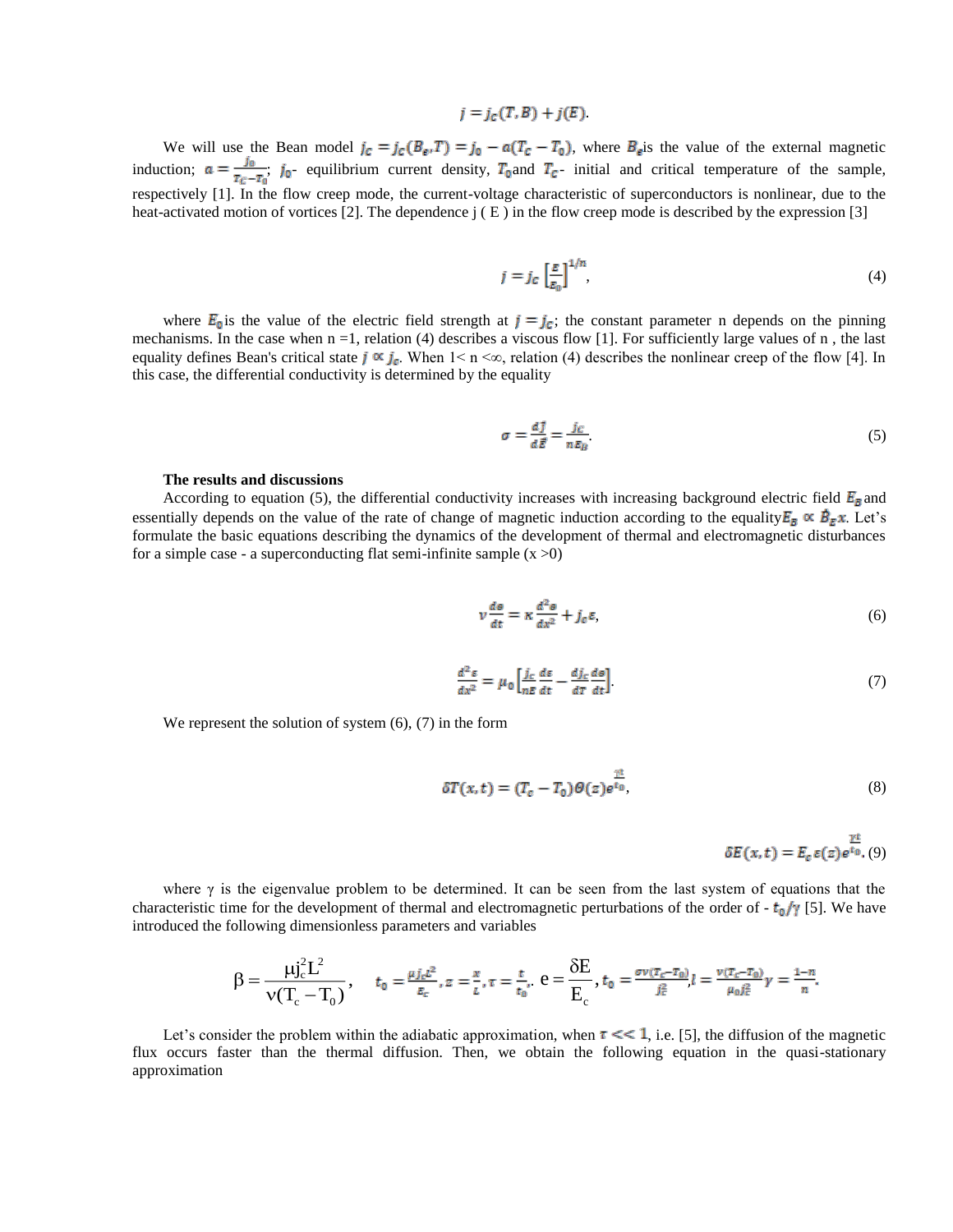# $i = j_c(T, B) + j(E)$ .

We will use the Bean model  $j_c = j_c (B_e, T) = j_0 - a(T_c - T_0)$ , where  $B_e$  is the value of the external magnetic induction;  $a = \frac{j_0}{T_c - T_0}$ ;  $j_0$ - equilibrium current density,  $T_0$  and  $T_c$ - initial and critical temperature of the sample, respectively [1]. In the flow creep mode, the current-voltage characteristic of superconductors is nonlinear, due to the heat-activated motion of vortices [2]. The dependence  $\mathfrak{j}$  (E) in the flow creep mode is described by the expression [3]

$$
j = j_c \left[ \frac{E}{E_0} \right]^{1/n},\tag{4}
$$

where  $E_0$  is the value of the electric field strength at  $j = j_c$ ; the constant parameter n depends on the pinning mechanisms. In the case when  $n = 1$ , relation (4) describes a viscous flow [1]. For sufficiently large values of  $n$ , the last equality defines Bean's critical state  $j \propto j_c$ . When  $1 \le n \le \infty$ , relation (4) describes the nonlinear creep of the flow [4]. In this case, the differential conductivity is determined by the equality

$$
\sigma = \frac{dJ}{d\vec{E}} = \frac{j_C}{nE_B} \tag{5}
$$

### **The results and discussions**

According to equation (5), the differential conductivity increases with increasing background electric field  $E_{\bar{p}}$  and essentially depends on the value of the rate of change of magnetic induction according to the equality  $E_B \propto \dot{B}_E x$ . Let's formulate the basic equations describing the dynamics of the development of thermal and electromagnetic disturbances for a simple case - a superconducting flat semi-infinite sample  $(x > 0)$ 

$$
v\frac{d\Theta}{dt} = \kappa \frac{d^2\Theta}{dx^2} + j_c \varepsilon,\tag{6}
$$

$$
\frac{d^2s}{dx^2} = \mu_0 \left[ \frac{j_c}{nE} \frac{ds}{dt} - \frac{dj_c}{dT} \frac{d\theta}{dt} \right]
$$
 (7)

We represent the solution of system  $(6)$ ,  $(7)$  in the form

$$
\delta T(x,t) = (T_c - T_0) \Theta(z) e^{\frac{\gamma t}{t_0}}, \tag{8}
$$

 $\delta E(x,t)=E_{c}\,\varepsilon(z)e^{i\theta}.$  (9)

where  $\gamma$  is the eigenvalue problem to be determined. It can be seen from the last system of equations that the characteristic time for the development of thermal and electromagnetic perturbations of the order of  $- t_0/\gamma$  [5]. We have introduced the following dimensionless parameters and variables

$$
\beta = \frac{\mu j_c^2 L^2}{\nu (T_c - T_0)}, \quad t_0 = \frac{\mu j_c L^2}{E_c}, z = \frac{x}{L}, \tau = \frac{t}{t_0}, \ \theta = \frac{\delta E}{E_c}, \ t_0 = \frac{\sigma \nu (T_c - T_0)}{j_c^2} l = \frac{\nu (T_c - T_0)}{\mu_0 j_c^2} \gamma = \frac{1 - n}{n}.
$$

Let's consider the problem within the adiabatic approximation, when  $\tau \ll 1$ , i.e. [5], the diffusion of the magnetic flux occurs faster than the thermal diffusion. Then, we obtain the following equation in the quasi-stationary approximation